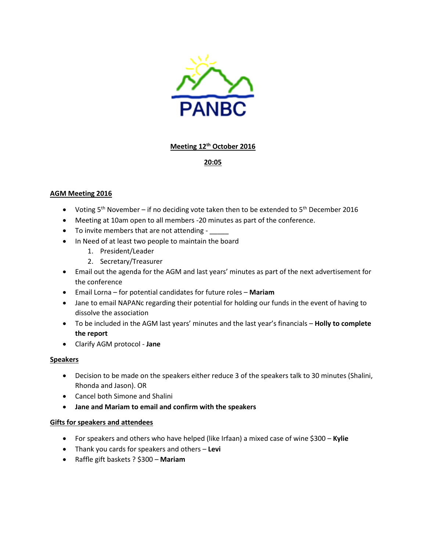

## **Meeting 12th October 2016**

# **20:05**

## **AGM Meeting 2016**

- Voting  $5<sup>th</sup>$  November if no deciding vote taken then to be extended to  $5<sup>th</sup>$  December 2016
- Meeting at 10am open to all members -20 minutes as part of the conference.
- To invite members that are not attending -
- In Need of at least two people to maintain the board
	- 1. President/Leader
	- 2. Secretary/Treasurer
- Email out the agenda for the AGM and last years' minutes as part of the next advertisement for the conference
- Email Lorna for potential candidates for future roles **Mariam**
- Jane to email NAPANc regarding their potential for holding our funds in the event of having to dissolve the association
- To be included in the AGM last years' minutes and the last year's financials **Holly to complete the report**
- Clarify AGM protocol **Jane**

## **Speakers**

- Decision to be made on the speakers either reduce 3 of the speakers talk to 30 minutes (Shalini, Rhonda and Jason). OR
- Cancel both Simone and Shalini
- **Jane and Mariam to email and confirm with the speakers**

#### **Gifts for speakers and attendees**

- For speakers and others who have helped (like Irfaan) a mixed case of wine \$300 **Kylie**
- Thank you cards for speakers and others **Levi**
- Raffle gift baskets ? \$300 **Mariam**